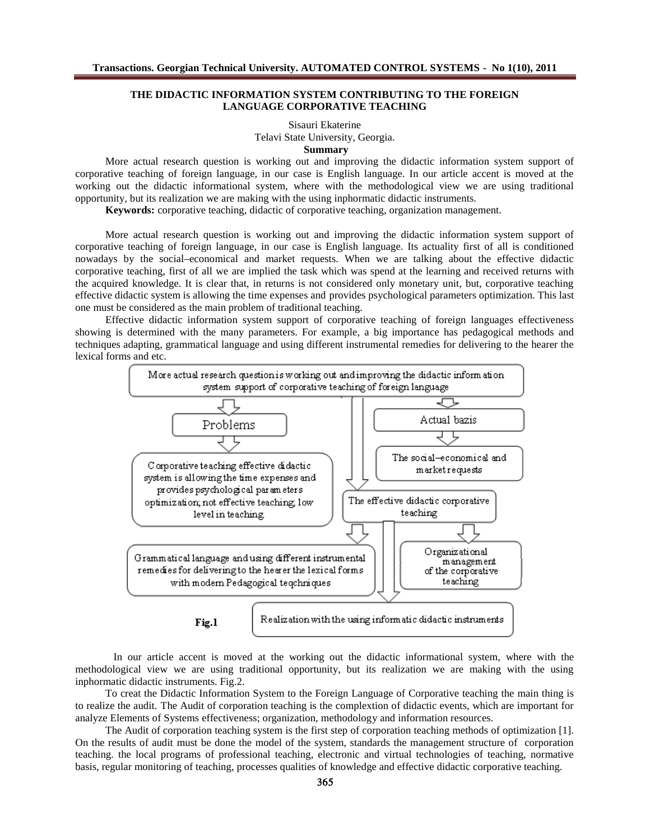## **THE DIDACTIC INFORMATION SYSTEM CONTRIBUTING TO THE FOREIGN LANGUAGE CORPORATIVE TEACHING**

Sisauri Ekaterine Telavi State University, Georgia. **Summary**

More actual research question is working out and improving the didactic information system support of corporative teaching of foreign language, in our case is English language. In our article accent is moved at the working out the didactic informational system, where with the methodological view we are using traditional opportunity, but its realization we are making with the using inphormatic didactic instruments.

**Keywords:** corporative teaching, didactic of corporative teaching, organization management.

More actual research question is working out and improving the didactic information system support of corporative teaching of foreign language, in our case is English language. Its actuality first of all is conditioned nowadays by the social–economical and market requests. When we are talking about the effective didactic corporative teaching, first of all we are implied the task which was spend at the learning and received returns with the acquired knowledge. It is clear that, in returns is not considered only monetary unit, but, corporative teaching effective didactic system is allowing the time expenses and provides psychological parameters optimization. This last one must be considered as the main problem of traditional teaching.

Effective didactic information system support of corporative teaching of foreign languages effectiveness showing is determined with the many parameters. For example, a big importance has pedagogical methods and techniques adapting, grammatical language and using different instrumental remedies for delivering to the hearer the lexical forms and etc.



In our article accent is moved at the working out the didactic informational system, where with the methodological view we are using traditional opportunity, but its realization we are making with the using inphormatic didactic instruments. Fig.2.

To creat the Didactic Information System to the Foreign Language of Corporative teaching the main thing is to realize the audit. The Audit of corporation teaching is the complextion of didactic events, which are important for analyze Elements of Systems effectiveness; organization, methodology and information resources.

The Audit of corporation teaching system is the first step of corporation teaching methods of optimization [1]. On the results of audit must be done the model of the system, standards the management structure of corporation teaching. the local programs of professional teaching, electronic and virtual technologies of teaching, normative basis, regular monitoring of teaching, processes qualities of knowledge and effective didactic corporative teaching.